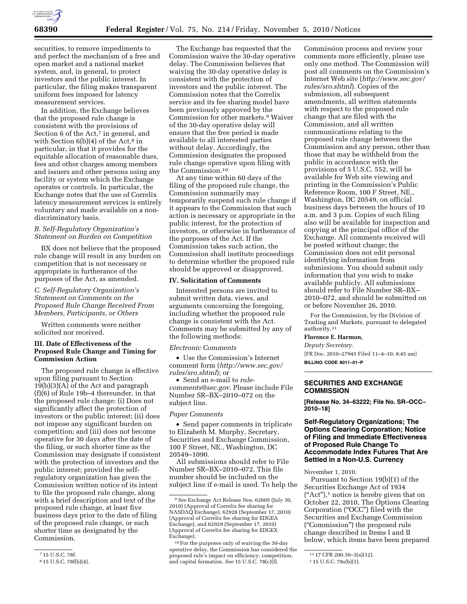

securities, to remove impediments to and perfect the mechanism of a free and open market and a national market system, and, in general, to protect investors and the public interest. In particular, the filing makes transparent uniform fees imposed for latency measurement services.

In addition, the Exchange believes that the proposed rule change is consistent with the provisions of Section 6 of the Act, $\bar{z}$  in general, and with Section  $6(b)(4)$  of the Act,<sup>8</sup> in particular, in that it provides for the equitable allocation of reasonable dues, fees and other charges among members and issuers and other persons using any facility or system which the Exchange operates or controls. In particular, the Exchange notes that the use of Correlix latency measurement services is entirely voluntary and made available on a nondiscriminatory basis.

### *B. Self-Regulatory Organization's Statement on Burden on Competition*

BX does not believe that the proposed rule change will result in any burden on competition that is not necessary or appropriate in furtherance of the purposes of the Act, as amended.

## *C. Self-Regulatory Organization's Statement on Comments on the Proposed Rule Change Received From Members, Participants, or Others*

Written comments were neither solicited nor received.

### **III. Date of Effectiveness of the Proposed Rule Change and Timing for Commission Action**

The proposed rule change is effective upon filing pursuant to Section 19(b)(3)(A) of the Act and paragraph (f)(6) of Rule 19b–4 thereunder, in that the proposed rule change: (i) Does not significantly affect the protection of investors or the public interest; (ii) does not impose any significant burden on competition; and (iii) does not become operative for 30 days after the date of the filing, or such shorter time as the Commission may designate if consistent with the protection of investors and the public interest; provided the selfregulatory organization has given the Commission written notice of its intent to file the proposed rule change, along with a brief description and text of the proposed rule change, at least five business days prior to the date of filing of the proposed rule change, or such shorter time as designated by the Commission.

The Exchange has requested that the Commission waive the 30-day operative delay. The Commission believes that waiving the 30-day operative delay is consistent with the protection of investors and the public interest. The Commission notes that the Correlix service and its fee sharing model have been previously approved by the Commission for other markets.9 Waiver of the 30-day operative delay will ensure that the free period is made available to all interested parties without delay. Accordingly, the Commission designates the proposed rule change operative upon filing with the Commission.10

At any time within 60 days of the filing of the proposed rule change, the Commission summarily may temporarily suspend such rule change if it appears to the Commission that such action is necessary or appropriate in the public interest, for the protection of investors, or otherwise in furtherance of the purposes of the Act. If the Commission takes such action, the Commission shall institute proceedings to determine whether the proposed rule should be approved or disapproved.

## **IV. Solicitation of Comments**

Interested persons are invited to submit written data, views, and arguments concerning the foregoing, including whether the proposed rule change is consistent with the Act. Comments may be submitted by any of the following methods:

### *Electronic Comments*

• Use the Commission's Internet comment form (*[http://www.sec.gov/](http://www.sec.gov/rules/sro.shtml)  [rules/sro.shtml](http://www.sec.gov/rules/sro.shtml)*); or

• Send an e-mail to *[rule](mailto:rule-comments@sec.gov)[comments@sec.gov](mailto:rule-comments@sec.gov)*. Please include File Number SR–BX–2010–072 on the subject line.

### *Paper Comments*

• Send paper comments in triplicate to Elizabeth M. Murphy, Secretary, Securities and Exchange Commission, 100 F Street, NE., Washington, DC 20549–1090.

All submissions should refer to File Number SR–BX–2010–072. This file number should be included on the subject line if e-mail is used. To help the

Commission process and review your comments more efficiently, please use only one method. The Commission will post all comments on the Commission's Internet Web site (*[http://www.sec.gov/](http://www.sec.gov/rules/sro.shtml)  [rules/sro.shtml](http://www.sec.gov/rules/sro.shtml)*). Copies of the submission, all subsequent amendments, all written statements with respect to the proposed rule change that are filed with the Commission, and all written communications relating to the proposed rule change between the Commission and any person, other than those that may be withheld from the public in accordance with the provisions of 5 U.S.C. 552, will be available for Web site viewing and printing in the Commission's Public Reference Room, 100 F Street, NE., Washington, DC 20549, on official business days between the hours of 10 a.m. and 3 p.m. Copies of such filing also will be available for inspection and copying at the principal office of the Exchange. All comments received will be posted without change; the Commission does not edit personal identifying information from submissions. You should submit only information that you wish to make available publicly. All submissions should refer to File Number SR–BX– 2010–072, and should be submitted on or before November 26, 2010.

For the Commission, by the Division of Trading and Markets, pursuant to delegated authority.11

#### **Florence E. Harmon,**

*Deputy Secretary.* 

[FR Doc. 2010–27945 Filed 11–4–10; 8:45 am]

**BILLING CODE 8011–01–P** 

# **SECURITIES AND EXCHANGE COMMISSION**

**[Release No. 34–63222; File No. SR–OCC– 2010–18]** 

## **Self-Regulatory Organizations; The Options Clearing Corporation; Notice of Filing and Immediate Effectiveness of Proposed Rule Change To Accommodate Index Futures That Are Settled in a Non-U.S. Currency**

### November 1, 2010.

Pursuant to Section 19(b)(1) of the Securities Exchange Act of 1934 (''Act''),1 notice is hereby given that on October 22, 2010, The Options Clearing Corporation (''OCC'') filed with the Securities and Exchange Commission (''Commission'') the proposed rule change described in Items I and II below, which items have been prepared

<sup>7</sup> 15 U.S.C. 78f.

<sup>8</sup> 15 U.S.C. 78f(b)(4).

<sup>9</sup>*See* Exchange Act Release Nos. 62605 (July 30, 2010) (Approval of Correlix fee sharing for NASDAQ Exchange), 62928 (September 17, 2010) (Approval of Correlix fee sharing for EDGEA Exchange), and 62929 (September 17, 2010) (Approval of Correlix fee sharing for EDGEX Exchange).

<sup>10</sup>For the purposes only of waiving the 30-day operative delay, the Commission has considered the proposed rule's impact on efficiency, competition, and capital formation. *See* 15 U.S.C. 78(c)(f).

 $1117 \overline{CFR}$  200.30-3(a)(12).<br>
115 U.S.C. 78s(b)(1).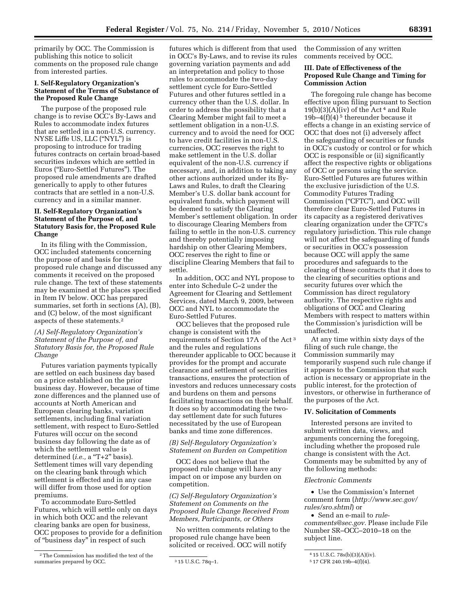primarily by OCC. The Commission is publishing this notice to solicit comments on the proposed rule change from interested parties.

# **I. Self-Regulatory Organization's Statement of the Terms of Substance of the Proposed Rule Change**

The purpose of the proposed rule change is to revise OCC's By-Laws and Rules to accommodate index futures that are settled in a non-U.S. currency. NYSE Liffe US, LLC (''NYL'') is proposing to introduce for trading futures contracts on certain broad-based securities indexes which are settled in Euros (''Euro-Settled Futures''). The proposed rule amendments are drafted generically to apply to other futures contracts that are settled in a non-U.S. currency and in a similar manner.

# **II. Self-Regulatory Organization's Statement of the Purpose of, and Statutory Basis for, the Proposed Rule Change**

In its filing with the Commission, OCC included statements concerning the purpose of and basis for the proposed rule change and discussed any comments it received on the proposed rule change. The text of these statements may be examined at the places specified in Item IV below. OCC has prepared summaries, set forth in sections (A), (B), and (C) below, of the most significant aspects of these statements.2

# *(A) Self-Regulatory Organization's Statement of the Purpose of, and Statutory Basis for, the Proposed Rule Change*

Futures variation payments typically are settled on each business day based on a price established on the prior business day. However, because of time zone differences and the planned use of accounts at North American and European clearing banks, variation settlements, including final variation settlement, with respect to Euro-Settled Futures will occur on the second business day following the date as of which the settlement value is determined (*i.e.*, a "T+2" basis). Settlement times will vary depending on the clearing bank through which settlement is effected and in any case will differ from those used for option premiums.

To accommodate Euro-Settled Futures, which will settle only on days in which both OCC and the relevant clearing banks are open for business, OCC proposes to provide for a definition of ''business day'' in respect of such

2The Commission has modified the text of the summaries prepared by OCC. 315 U.S.C. 78q-1.

futures which is different from that used in OCC's By-Laws, and to revise its rules governing variation payments and add an interpretation and policy to those rules to accommodate the two-day settlement cycle for Euro-Settled Futures and other futures settled in a currency other than the U.S. dollar. In order to address the possibility that a Clearing Member might fail to meet a settlement obligation in a non-U.S. currency and to avoid the need for OCC to have credit facilities in non-U.S. currencies, OCC reserves the right to make settlement in the U.S. dollar equivalent of the non-U.S. currency if necessary, and, in addition to taking any other actions authorized under its By-Laws and Rules, to draft the Clearing Member's U.S. dollar bank account for equivalent funds, which payment will be deemed to satisfy the Clearing Member's settlement obligation. In order to discourage Clearing Members from failing to settle in the non-U.S. currency and thereby potentially imposing hardship on other Clearing Members, OCC reserves the right to fine or discipline Clearing Members that fail to settle.

In addition, OCC and NYL propose to enter into Schedule C–2 under the Agreement for Clearing and Settlement Services, dated March 9, 2009, between OCC and NYL to accommodate the Euro-Settled Futures.

OCC believes that the proposed rule change is consistent with the requirements of Section 17A of the Act 3 and the rules and regulations thereunder applicable to OCC because it provides for the prompt and accurate clearance and settlement of securities transactions, ensures the protection of investors and reduces unnecessary costs and burdens on them and persons facilitating transactions on their behalf. It does so by accommodating the twoday settlement date for such futures necessitated by the use of European banks and time zone differences.

*(B) Self-Regulatory Organization's Statement on Burden on Competition* 

OCC does not believe that the proposed rule change will have any impact on or impose any burden on competition.

*(C) Self-Regulatory Organization's Statement on Comments on the Proposed Rule Change Received From Members, Participants, or Others* 

No written comments relating to the proposed rule change have been solicited or received. OCC will notify

the Commission of any written comments received by OCC.

## **III. Date of Effectiveness of the Proposed Rule Change and Timing for Commission Action**

The foregoing rule change has become effective upon filing pursuant to Section  $19(b)(3)(A)(iv)$  of the Act<sup>4</sup> and Rule 19b–4 $(f)(4)^5$  thereunder because it effects a change in an existing service of OCC that does not (i) adversely affect the safeguarding of securities or funds in OCC's custody or control or for which OCC is responsible or (ii) significantly affect the respective rights or obligations of OCC or persons using the service. Euro-Settled Futures are futures within the exclusive jurisdiction of the U.S. Commodity Futures Trading Commission (''CFTC''), and OCC will therefore clear Euro-Settled Futures in its capacity as a registered derivatives clearing organization under the CFTC's regulatory jurisdiction. This rule change will not affect the safeguarding of funds or securities in OCC's possession because OCC will apply the same procedures and safeguards to the clearing of these contracts that it does to the clearing of securities options and security futures over which the Commission has direct regulatory authority. The respective rights and obligations of OCC and Clearing Members with respect to matters within the Commission's jurisdiction will be unaffected.

At any time within sixty days of the filing of such rule change, the Commission summarily may temporarily suspend such rule change if it appears to the Commission that such action is necessary or appropriate in the public interest, for the protection of investors, or otherwise in furtherance of the purposes of the Act.

### **IV. Solicitation of Comments**

Interested persons are invited to submit written data, views, and arguments concerning the foregoing, including whether the proposed rule change is consistent with the Act. Comments may be submitted by any of the following methods:

#### *Electronic Comments*

• Use the Commission's Internet comment form (*[http://www.sec.gov/](http://www.sec.gov/rules/sro.shtml)  [rules/sro.shtml](http://www.sec.gov/rules/sro.shtml)*) or

• Send an e-mail to *[rule](mailto:rule-comments@sec.gov)[comments@sec.gov.](mailto:rule-comments@sec.gov)* Please include File Number SR–OCC–2010–18 on the subject line.

<sup>4</sup> 15 U.S.C. 78s(b)(3)(A)(iv).

<sup>5</sup> 17 CFR 240.19b–4(f)(4).